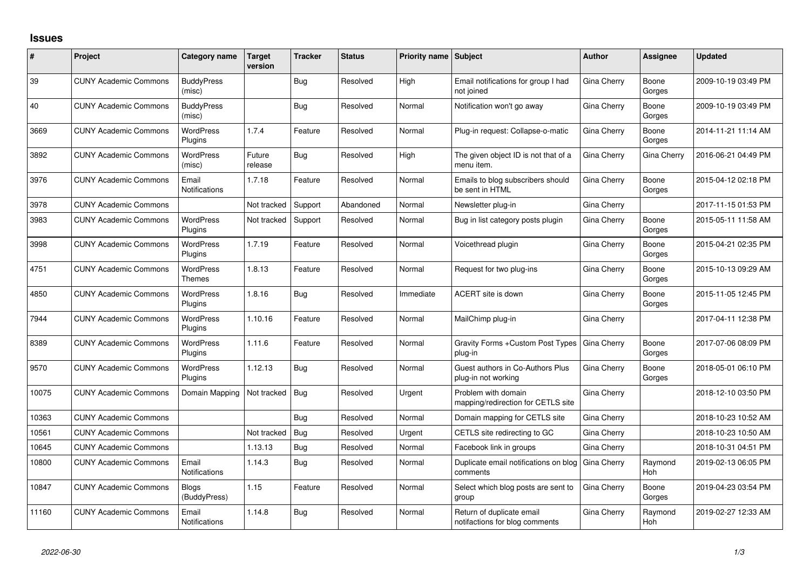## **Issues**

| #     | Project                      | Category name                     | <b>Target</b><br>version | <b>Tracker</b> | <b>Status</b> | Priority name Subject |                                                             | <b>Author</b> | Assignee              | <b>Updated</b>      |
|-------|------------------------------|-----------------------------------|--------------------------|----------------|---------------|-----------------------|-------------------------------------------------------------|---------------|-----------------------|---------------------|
| 39    | <b>CUNY Academic Commons</b> | <b>BuddyPress</b><br>(misc)       |                          | Bug            | Resolved      | High                  | Email notifications for group I had<br>not joined           | Gina Cherry   | Boone<br>Gorges       | 2009-10-19 03:49 PM |
| 40    | <b>CUNY Academic Commons</b> | <b>BuddyPress</b><br>(misc)       |                          | <b>Bug</b>     | Resolved      | Normal                | Notification won't go away                                  | Gina Cherry   | Boone<br>Gorges       | 2009-10-19 03:49 PM |
| 3669  | <b>CUNY Academic Commons</b> | <b>WordPress</b><br>Plugins       | 1.7.4                    | Feature        | Resolved      | Normal                | Plug-in request: Collapse-o-matic                           | Gina Cherry   | Boone<br>Gorges       | 2014-11-21 11:14 AM |
| 3892  | <b>CUNY Academic Commons</b> | <b>WordPress</b><br>(misc)        | Future<br>release        | Bug            | Resolved      | High                  | The given object ID is not that of a<br>menu item.          | Gina Cherry   | Gina Cherry           | 2016-06-21 04:49 PM |
| 3976  | <b>CUNY Academic Commons</b> | Email<br><b>Notifications</b>     | 1.7.18                   | Feature        | Resolved      | Normal                | Emails to blog subscribers should<br>be sent in HTML        | Gina Cherry   | Boone<br>Gorges       | 2015-04-12 02:18 PM |
| 3978  | <b>CUNY Academic Commons</b> |                                   | Not tracked              | Support        | Abandoned     | Normal                | Newsletter plug-in                                          | Gina Cherry   |                       | 2017-11-15 01:53 PM |
| 3983  | <b>CUNY Academic Commons</b> | <b>WordPress</b><br>Plugins       | Not tracked              | Support        | Resolved      | Normal                | Bug in list category posts plugin                           | Gina Cherry   | Boone<br>Gorges       | 2015-05-11 11:58 AM |
| 3998  | <b>CUNY Academic Commons</b> | <b>WordPress</b><br>Plugins       | 1.7.19                   | Feature        | Resolved      | Normal                | Voicethread plugin                                          | Gina Cherry   | Boone<br>Gorges       | 2015-04-21 02:35 PM |
| 4751  | <b>CUNY Academic Commons</b> | <b>WordPress</b><br><b>Themes</b> | 1.8.13                   | Feature        | Resolved      | Normal                | Request for two plug-ins                                    | Gina Cherry   | Boone<br>Gorges       | 2015-10-13 09:29 AM |
| 4850  | <b>CUNY Academic Commons</b> | <b>WordPress</b><br>Plugins       | 1.8.16                   | Bug            | Resolved      | Immediate             | ACERT site is down                                          | Gina Cherry   | Boone<br>Gorges       | 2015-11-05 12:45 PM |
| 7944  | <b>CUNY Academic Commons</b> | <b>WordPress</b><br>Plugins       | 1.10.16                  | Feature        | Resolved      | Normal                | MailChimp plug-in                                           | Gina Cherry   |                       | 2017-04-11 12:38 PM |
| 8389  | <b>CUNY Academic Commons</b> | <b>WordPress</b><br>Plugins       | 1.11.6                   | Feature        | Resolved      | Normal                | Gravity Forms + Custom Post Types<br>plug-in                | Gina Cherry   | Boone<br>Gorges       | 2017-07-06 08:09 PM |
| 9570  | <b>CUNY Academic Commons</b> | <b>WordPress</b><br>Plugins       | 1.12.13                  | Bug            | Resolved      | Normal                | Guest authors in Co-Authors Plus<br>plug-in not working     | Gina Cherry   | Boone<br>Gorges       | 2018-05-01 06:10 PM |
| 10075 | <b>CUNY Academic Commons</b> | Domain Mapping                    | Not tracked              | Bug            | Resolved      | Urgent                | Problem with domain<br>mapping/redirection for CETLS site   | Gina Cherry   |                       | 2018-12-10 03:50 PM |
| 10363 | <b>CUNY Academic Commons</b> |                                   |                          | Bug            | Resolved      | Normal                | Domain mapping for CETLS site                               | Gina Cherry   |                       | 2018-10-23 10:52 AM |
| 10561 | <b>CUNY Academic Commons</b> |                                   | Not tracked              | Bug            | Resolved      | Urgent                | CETLS site redirecting to GC                                | Gina Cherry   |                       | 2018-10-23 10:50 AM |
| 10645 | <b>CUNY Academic Commons</b> |                                   | 1.13.13                  | Bug            | Resolved      | Normal                | Facebook link in groups                                     | Gina Cherry   |                       | 2018-10-31 04:51 PM |
| 10800 | <b>CUNY Academic Commons</b> | Email<br><b>Notifications</b>     | 1.14.3                   | Bug            | Resolved      | Normal                | Duplicate email notifications on blog<br>comments           | Gina Cherry   | Raymond<br><b>Hoh</b> | 2019-02-13 06:05 PM |
| 10847 | <b>CUNY Academic Commons</b> | <b>Blogs</b><br>(BuddyPress)      | 1.15                     | Feature        | Resolved      | Normal                | Select which blog posts are sent to<br>group                | Gina Cherry   | Boone<br>Gorges       | 2019-04-23 03:54 PM |
| 11160 | <b>CUNY Academic Commons</b> | Email<br>Notifications            | 1.14.8                   | Bug            | Resolved      | Normal                | Return of duplicate email<br>notifactions for blog comments | Gina Cherry   | Raymond<br>Hoh        | 2019-02-27 12:33 AM |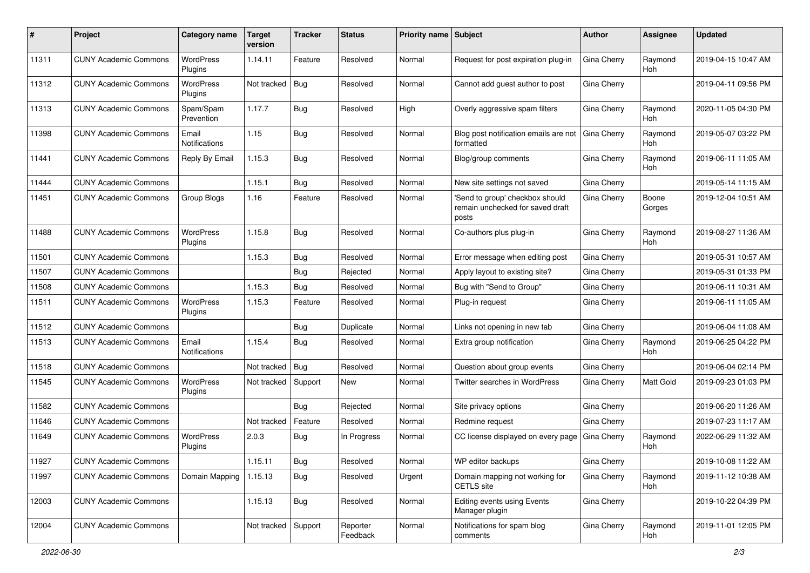| #     | Project                      | Category name                 | <b>Target</b><br>version | <b>Tracker</b> | <b>Status</b>        | <b>Priority name Subject</b> |                                                                              | <b>Author</b> | Assignee        | Updated             |
|-------|------------------------------|-------------------------------|--------------------------|----------------|----------------------|------------------------------|------------------------------------------------------------------------------|---------------|-----------------|---------------------|
| 11311 | <b>CUNY Academic Commons</b> | WordPress<br>Plugins          | 1.14.11                  | Feature        | Resolved             | Normal                       | Request for post expiration plug-in                                          | Gina Cherry   | Raymond<br>Hoh  | 2019-04-15 10:47 AM |
| 11312 | <b>CUNY Academic Commons</b> | <b>WordPress</b><br>Plugins   | Not tracked              | <b>Bug</b>     | Resolved             | Normal                       | Cannot add guest author to post                                              | Gina Cherry   |                 | 2019-04-11 09:56 PM |
| 11313 | <b>CUNY Academic Commons</b> | Spam/Spam<br>Prevention       | 1.17.7                   | Bug            | Resolved             | High                         | Overly aggressive spam filters                                               | Gina Cherry   | Raymond<br>Hoh  | 2020-11-05 04:30 PM |
| 11398 | <b>CUNY Academic Commons</b> | Email<br>Notifications        | 1.15                     | Bug            | Resolved             | Normal                       | Blog post notification emails are not<br>formatted                           | Gina Cherry   | Raymond<br>Hoh  | 2019-05-07 03:22 PM |
| 11441 | <b>CUNY Academic Commons</b> | Reply By Email                | 1.15.3                   | Bug            | Resolved             | Normal                       | Blog/group comments                                                          | Gina Cherry   | Raymond<br>Hoh  | 2019-06-11 11:05 AM |
| 11444 | <b>CUNY Academic Commons</b> |                               | 1.15.1                   | Bug            | Resolved             | Normal                       | New site settings not saved                                                  | Gina Cherry   |                 | 2019-05-14 11:15 AM |
| 11451 | <b>CUNY Academic Commons</b> | Group Blogs                   | 1.16                     | Feature        | Resolved             | Normal                       | 'Send to group' checkbox should<br>remain unchecked for saved draft<br>posts | Gina Cherry   | Boone<br>Gorges | 2019-12-04 10:51 AM |
| 11488 | <b>CUNY Academic Commons</b> | WordPress<br>Plugins          | 1.15.8                   | Bug            | Resolved             | Normal                       | Co-authors plus plug-in                                                      | Gina Cherry   | Raymond<br>Hoh  | 2019-08-27 11:36 AM |
| 11501 | <b>CUNY Academic Commons</b> |                               | 1.15.3                   | Bug            | Resolved             | Normal                       | Error message when editing post                                              | Gina Cherry   |                 | 2019-05-31 10:57 AM |
| 11507 | <b>CUNY Academic Commons</b> |                               |                          | Bug            | Rejected             | Normal                       | Apply layout to existing site?                                               | Gina Cherry   |                 | 2019-05-31 01:33 PM |
| 11508 | <b>CUNY Academic Commons</b> |                               | 1.15.3                   | Bug            | Resolved             | Normal                       | Bug with "Send to Group"                                                     | Gina Cherry   |                 | 2019-06-11 10:31 AM |
| 11511 | <b>CUNY Academic Commons</b> | WordPress<br>Plugins          | 1.15.3                   | Feature        | Resolved             | Normal                       | Plug-in request                                                              | Gina Cherry   |                 | 2019-06-11 11:05 AM |
| 11512 | <b>CUNY Academic Commons</b> |                               |                          | Bug            | Duplicate            | Normal                       | Links not opening in new tab                                                 | Gina Cherry   |                 | 2019-06-04 11:08 AM |
| 11513 | <b>CUNY Academic Commons</b> | Email<br><b>Notifications</b> | 1.15.4                   | Bug            | Resolved             | Normal                       | Extra group notification                                                     | Gina Cherry   | Raymond<br>Hoh  | 2019-06-25 04:22 PM |
| 11518 | <b>CUNY Academic Commons</b> |                               | Not tracked              | Bug            | Resolved             | Normal                       | Question about group events                                                  | Gina Cherry   |                 | 2019-06-04 02:14 PM |
| 11545 | <b>CUNY Academic Commons</b> | WordPress<br>Plugins          | Not tracked              | Support        | New                  | Normal                       | <b>Twitter searches in WordPress</b>                                         | Gina Cherry   | Matt Gold       | 2019-09-23 01:03 PM |
| 11582 | <b>CUNY Academic Commons</b> |                               |                          | Bug            | Rejected             | Normal                       | Site privacy options                                                         | Gina Cherry   |                 | 2019-06-20 11:26 AM |
| 11646 | <b>CUNY Academic Commons</b> |                               | Not tracked              | Feature        | Resolved             | Normal                       | Redmine request                                                              | Gina Cherry   |                 | 2019-07-23 11:17 AM |
| 11649 | <b>CUNY Academic Commons</b> | WordPress<br>Plugins          | 2.0.3                    | Bug            | In Progress          | Normal                       | CC license displayed on every page                                           | Gina Cherry   | Raymond<br>Hoh  | 2022-06-29 11:32 AM |
| 11927 | <b>CUNY Academic Commons</b> |                               | 1.15.11                  | Bug            | Resolved             | Normal                       | WP editor backups                                                            | Gina Cherry   |                 | 2019-10-08 11:22 AM |
| 11997 | <b>CUNY Academic Commons</b> | Domain Mapping                | 1.15.13                  | Bug            | Resolved             | Urgent                       | Domain mapping not working for<br>CETLS site                                 | Gina Cherry   | Raymond<br>Hoh  | 2019-11-12 10:38 AM |
| 12003 | <b>CUNY Academic Commons</b> |                               | 1.15.13                  | <b>Bug</b>     | Resolved             | Normal                       | Editing events using Events<br>Manager plugin                                | Gina Cherry   |                 | 2019-10-22 04:39 PM |
| 12004 | <b>CUNY Academic Commons</b> |                               | Not tracked              | Support        | Reporter<br>Feedback | Normal                       | Notifications for spam blog<br>comments                                      | Gina Cherry   | Raymond<br>Hoh  | 2019-11-01 12:05 PM |